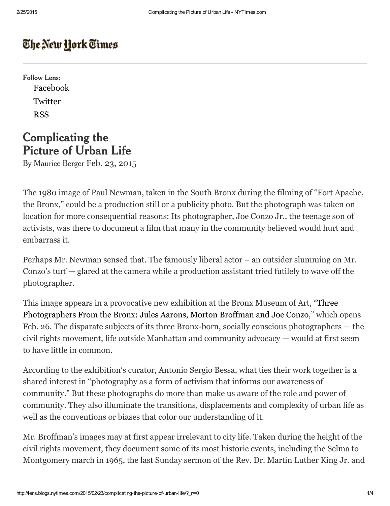## The New York Times

**Follow Len:** [Facebook](https://facebook.com/nytimesphoto) **[Twitter](https://twitter.com/nytimesphoto)** [RSS](http://lens.blogs.nytimes.com/feed/)

## **Complicating the Picture** of Urban Life

By Maurice Berger Feb. 23, 2015

The 1980 image of Paul Newman, taken in the South Bronx during the filming of "Fort Apache, the Bronx," could be a production still or a publicity photo. But the photograph was taken on location for more consequential reasons: Its photographer, Joe Conzo Jr., the teenage son of activists, was there to document a film that many in the community believed would hurt and embarrass it.

Perhaps Mr. Newman sensed that. The famously liberal actor – an outsider slumming on Mr. Conzo's turf — glared at the camera while a production assistant tried futilely to wave off the photographer.

This image appears in a provocative new exhibition at the Bronx Museum of Art, "Three [Photographers](http://www.bronxmuseum.org/exhibitions/three-photographers-from-the-bronx) From the Bronx: Jules Aarons, Morton Broffman and Joe Conzo," which opens Feb. 26. The disparate subjects of its three Bronx-born, socially conscious photographers  $-$  the civil rights movement, life outside Manhattan and community advocacy — would at first seem to have little in common.

According to the exhibition's curator, Antonio Sergio Bessa, what ties their work together is a shared interest in "photography as a form of activism that informs our awareness of community." But these photographs do more than make us aware of the role and power of community. They also illuminate the transitions, displacements and complexity of urban life as well as the conventions or biases that color our understanding of it.

Mr. Broffman's images may at first appear irrelevant to city life. Taken during the height of the civil rights movement, they document some of its most historic events, including the Selma to Montgomery march in 1965, the last Sunday sermon of the Rev. Dr. Martin Luther King Jr. and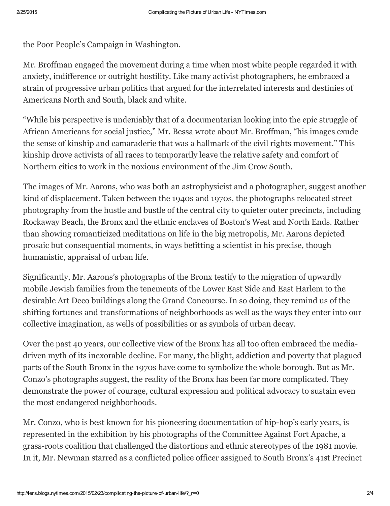the Poor People's Campaign in Washington.

Mr. Broffman engaged the movement during a time when most white people regarded it with anxiety, indifference or outright hostility. Like many activist photographers, he embraced a strain of progressive urban politics that argued for the interrelated interests and destinies of Americans North and South, black and white.

"While his perspective is undeniably that of a documentarian looking into the epic struggle of African Americans for social justice," Mr. Bessa wrote about Mr. Broffman, "his images exude the sense of kinship and camaraderie that was a hallmark of the civil rights movement." This kinship drove activists of all races to temporarily leave the relative safety and comfort of Northern cities to work in the noxious environment of the Jim Crow South.

The images of Mr. Aarons, who was both an astrophysicist and a photographer, suggest another kind of displacement. Taken between the 1940s and 1970s, the photographs relocated street photography from the hustle and bustle of the central city to quieter outer precincts, including Rockaway Beach, the Bronx and the ethnic enclaves of Boston's West and North Ends. Rather than showing romanticized meditations on life in the big metropolis, Mr. Aarons depicted prosaic but consequential moments, in ways befitting a scientist in his precise, though humanistic, appraisal of urban life.

Significantly, Mr. Aarons's photographs of the Bronx testify to the migration of upwardly mobile Jewish families from the tenements of the Lower East Side and East Harlem to the desirable Art Deco buildings along the Grand Concourse. In so doing, they remind us of the shifting fortunes and transformations of neighborhoods as well as the ways they enter into our collective imagination, as wells of possibilities or as symbols of urban decay.

Over the past 40 years, our collective view of the Bronx has all too often embraced the mediadriven myth of its inexorable decline. For many, the blight, addiction and poverty that plagued parts of the South Bronx in the 1970s have come to symbolize the whole borough. But as Mr. Conzo's photographs suggest, the reality of the Bronx has been far more complicated. They demonstrate the power of courage, cultural expression and political advocacy to sustain even the most endangered neighborhoods.

Mr. Conzo, who is best known for his pioneering documentation of hip-hop's early years, is represented in the exhibition by his photographs of the Committee Against Fort Apache, a grass-roots coalition that challenged the distortions and ethnic stereotypes of the 1981 movie. In it, Mr. Newman starred as a conflicted police officer assigned to South Bronx's 41st Precinct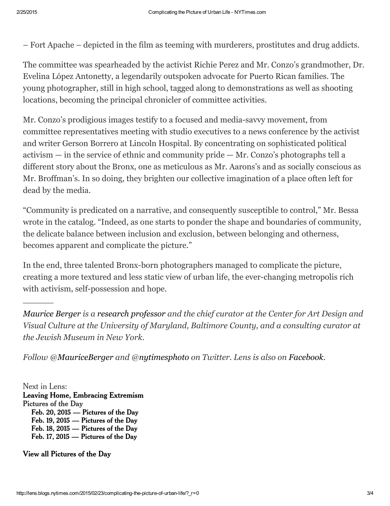– Fort Apache – depicted in the film as teeming with murderers, prostitutes and drug addicts.

The committee was spearheaded by the activist Richie Perez and Mr. Conzo's grandmother, Dr. Evelina López Antonetty, a legendarily outspoken advocate for Puerto Rican families. The young photographer, still in high school, tagged along to demonstrations as well as shooting locations, becoming the principal chronicler of committee activities.

Mr. Conzo's prodigious images testify to a focused and media-savvy movement, from committee representatives meeting with studio executives to a news conference by the activist and writer Gerson Borrero at Lincoln Hospital. By concentrating on sophisticated political activism — in the service of ethnic and community pride — Mr. Conzo's photographs tell a different story about the Bronx, one as meticulous as Mr. Aarons's and as socially conscious as Mr. Broffman's. In so doing, they brighten our collective imagination of a place often left for dead by the media.

"Community is predicated on a narrative, and consequently susceptible to control," Mr. Bessa wrote in the catalog. "Indeed, as one starts to ponder the shape and boundaries of community, the delicate balance between inclusion and exclusion, between belonging and otherness, becomes apparent and complicate the picture."

In the end, three talented Bronx-born photographers managed to complicate the picture, creating a more textured and less static view of urban life, the ever-changing metropolis rich with activism, self-possession and hope.

Follow [@MauriceBerger](https://twitter.com/MauriceBerger) and [@nytimesphoto](https://twitter.com/#!/nytimesphoto) on Twitter. Lens is also on [Facebook.](http://www.facebook.com/nytimesphoto)

Next in Len: **Leaving Home, Embracing Extremism Picture of the Da Fe. 20, 2015 — Picture of the Da Fe. 19, 2015 — Picture of the Da Fe. 18, 2015 — Picture of the Da Fe. 17, 2015 — Picture of the Da**

**View all [Picture](http://lens.blogs.nytimes.com/category/pictures-of-the-day/) of the Da**

[Maurice](http://umbc.academia.edu/MauriceBerger) Berger is a research [professor](http://umbc.academia.edu/MauriceBerger) and the chief curator at the Center for Art Design and Visual Culture at the University of Maryland, Baltimore County, and a consulting curator at the Jewish Museum in New York.